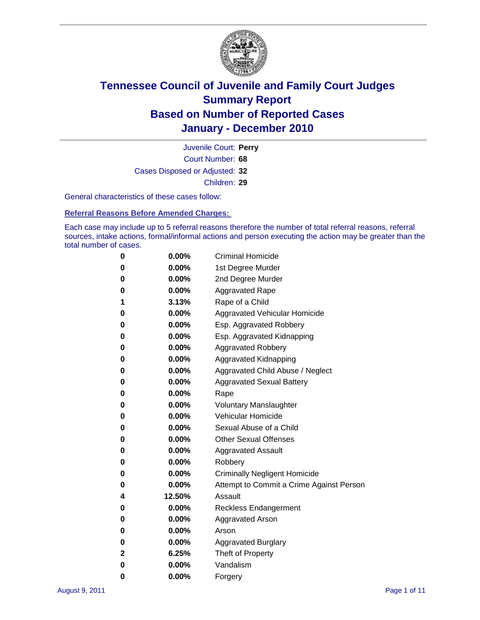

Court Number: **68** Juvenile Court: **Perry** Cases Disposed or Adjusted: **32** Children: **29**

General characteristics of these cases follow:

**Referral Reasons Before Amended Charges:** 

Each case may include up to 5 referral reasons therefore the number of total referral reasons, referral sources, intake actions, formal/informal actions and person executing the action may be greater than the total number of cases.

| 0 | $0.00\%$ | <b>Criminal Homicide</b>                 |
|---|----------|------------------------------------------|
| 0 | $0.00\%$ | 1st Degree Murder                        |
| 0 | $0.00\%$ | 2nd Degree Murder                        |
| 0 | $0.00\%$ | <b>Aggravated Rape</b>                   |
| 1 | 3.13%    | Rape of a Child                          |
| 0 | $0.00\%$ | Aggravated Vehicular Homicide            |
| 0 | $0.00\%$ | Esp. Aggravated Robbery                  |
| 0 | $0.00\%$ | Esp. Aggravated Kidnapping               |
| 0 | $0.00\%$ | <b>Aggravated Robbery</b>                |
| 0 | $0.00\%$ | Aggravated Kidnapping                    |
| 0 | $0.00\%$ | Aggravated Child Abuse / Neglect         |
| 0 | 0.00%    | <b>Aggravated Sexual Battery</b>         |
| 0 | 0.00%    | Rape                                     |
| 0 | $0.00\%$ | <b>Voluntary Manslaughter</b>            |
| 0 | $0.00\%$ | Vehicular Homicide                       |
| 0 | $0.00\%$ | Sexual Abuse of a Child                  |
| 0 | $0.00\%$ | <b>Other Sexual Offenses</b>             |
| 0 | $0.00\%$ | <b>Aggravated Assault</b>                |
| 0 | $0.00\%$ | Robbery                                  |
| 0 | $0.00\%$ | <b>Criminally Negligent Homicide</b>     |
| 0 | $0.00\%$ | Attempt to Commit a Crime Against Person |
| 4 | 12.50%   | Assault                                  |
| 0 | $0.00\%$ | <b>Reckless Endangerment</b>             |
| 0 | $0.00\%$ | <b>Aggravated Arson</b>                  |
| 0 | $0.00\%$ | Arson                                    |
| 0 | $0.00\%$ | <b>Aggravated Burglary</b>               |
| 2 | 6.25%    | Theft of Property                        |
| 0 | $0.00\%$ | Vandalism                                |
| 0 | $0.00\%$ | Forgery                                  |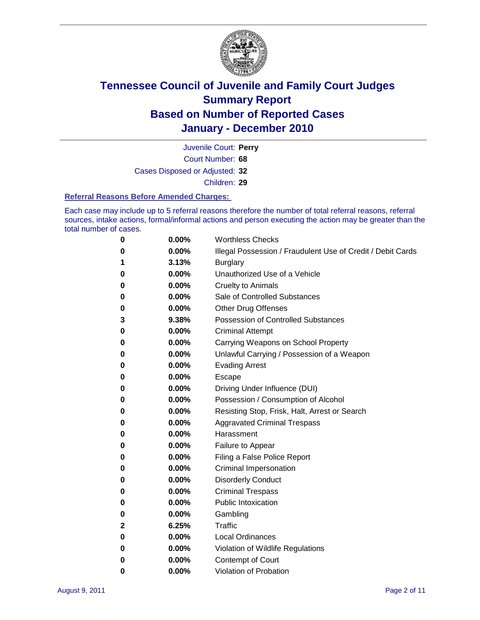

Court Number: **68** Juvenile Court: **Perry** Cases Disposed or Adjusted: **32** Children: **29**

#### **Referral Reasons Before Amended Charges:**

Each case may include up to 5 referral reasons therefore the number of total referral reasons, referral sources, intake actions, formal/informal actions and person executing the action may be greater than the total number of cases.

| $\bf{0}$     | 0.00% | <b>Worthless Checks</b>                                     |
|--------------|-------|-------------------------------------------------------------|
| 0            | 0.00% | Illegal Possession / Fraudulent Use of Credit / Debit Cards |
| 1            | 3.13% | <b>Burglary</b>                                             |
| 0            | 0.00% | Unauthorized Use of a Vehicle                               |
| 0            | 0.00% | <b>Cruelty to Animals</b>                                   |
| 0            | 0.00% | Sale of Controlled Substances                               |
| 0            | 0.00% | <b>Other Drug Offenses</b>                                  |
| 3            | 9.38% | Possession of Controlled Substances                         |
| 0            | 0.00% | <b>Criminal Attempt</b>                                     |
| 0            | 0.00% | Carrying Weapons on School Property                         |
| 0            | 0.00% | Unlawful Carrying / Possession of a Weapon                  |
| 0            | 0.00% | <b>Evading Arrest</b>                                       |
| 0            | 0.00% | Escape                                                      |
| 0            | 0.00% | Driving Under Influence (DUI)                               |
| 0            | 0.00% | Possession / Consumption of Alcohol                         |
| 0            | 0.00% | Resisting Stop, Frisk, Halt, Arrest or Search               |
| 0            | 0.00% | <b>Aggravated Criminal Trespass</b>                         |
| 0            | 0.00% | Harassment                                                  |
| 0            | 0.00% | Failure to Appear                                           |
| 0            | 0.00% | Filing a False Police Report                                |
| 0            | 0.00% | Criminal Impersonation                                      |
| 0            | 0.00% | <b>Disorderly Conduct</b>                                   |
| 0            | 0.00% | <b>Criminal Trespass</b>                                    |
| 0            | 0.00% | <b>Public Intoxication</b>                                  |
| 0            | 0.00% | Gambling                                                    |
| $\mathbf{2}$ | 6.25% | Traffic                                                     |
| 0            | 0.00% | <b>Local Ordinances</b>                                     |
| 0            | 0.00% | Violation of Wildlife Regulations                           |
| 0            | 0.00% | Contempt of Court                                           |
| 0            | 0.00% | Violation of Probation                                      |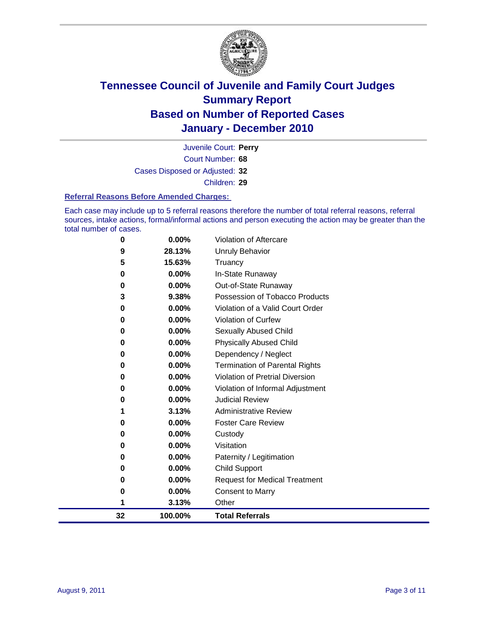

Court Number: **68** Juvenile Court: **Perry** Cases Disposed or Adjusted: **32** Children: **29**

#### **Referral Reasons Before Amended Charges:**

Each case may include up to 5 referral reasons therefore the number of total referral reasons, referral sources, intake actions, formal/informal actions and person executing the action may be greater than the total number of cases.

| 32       | 100.00%  | <b>Total Referrals</b>                 |
|----------|----------|----------------------------------------|
| 1        | 3.13%    | Other                                  |
| 0        | 0.00%    | <b>Consent to Marry</b>                |
| 0        | 0.00%    | <b>Request for Medical Treatment</b>   |
| 0        | 0.00%    | <b>Child Support</b>                   |
| 0        | 0.00%    | Paternity / Legitimation               |
| 0        | 0.00%    | Visitation                             |
| 0        | 0.00%    | Custody                                |
| 0        | $0.00\%$ | <b>Foster Care Review</b>              |
| 1        | 3.13%    | <b>Administrative Review</b>           |
| 0        | 0.00%    | <b>Judicial Review</b>                 |
| 0        | 0.00%    | Violation of Informal Adjustment       |
| 0        | 0.00%    | <b>Violation of Pretrial Diversion</b> |
| $\bf{0}$ | 0.00%    | <b>Termination of Parental Rights</b>  |
| 0        | 0.00%    | Dependency / Neglect                   |
| 0        | 0.00%    | <b>Physically Abused Child</b>         |
| 0        | $0.00\%$ | <b>Sexually Abused Child</b>           |
| 0        | $0.00\%$ | <b>Violation of Curfew</b>             |
| 0        | 0.00%    | Violation of a Valid Court Order       |
| 3        | 9.38%    | Possession of Tobacco Products         |
| 0        | $0.00\%$ | Out-of-State Runaway                   |
| $\bf{0}$ | 0.00%    | In-State Runaway                       |
| 5        | 15.63%   | Truancy                                |
| 9        | 28.13%   | Unruly Behavior                        |
| 0        | 0.00%    | Violation of Aftercare                 |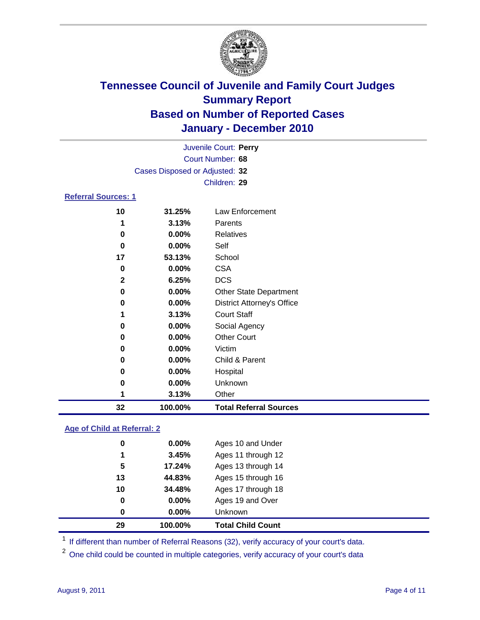

| 32                         | 100.00%                        | <b>Total Referral Sources</b>     |  |
|----------------------------|--------------------------------|-----------------------------------|--|
| 1                          | 3.13%                          | Other                             |  |
| 0                          | 0.00%                          | Unknown                           |  |
| 0                          | 0.00%                          | Hospital                          |  |
| 0                          | 0.00%                          | Child & Parent                    |  |
| 0                          | $0.00\%$                       | Victim                            |  |
| 0                          | $0.00\%$                       | <b>Other Court</b>                |  |
| 0                          | 0.00%                          | Social Agency                     |  |
| 1                          | 3.13%                          | <b>Court Staff</b>                |  |
| 0                          | $0.00\%$                       | <b>District Attorney's Office</b> |  |
| 0                          | 0.00%                          | <b>Other State Department</b>     |  |
| $\mathbf{2}$               | 6.25%                          | <b>DCS</b>                        |  |
| $\bf{0}$                   | 0.00%                          | <b>CSA</b>                        |  |
| 17                         | 53.13%                         | School                            |  |
| 0                          | 0.00%                          | Self                              |  |
| 0                          | 0.00%                          | <b>Relatives</b>                  |  |
| 1                          | 3.13%                          | Parents                           |  |
| 10                         | 31.25%                         | Law Enforcement                   |  |
| <b>Referral Sources: 1</b> |                                |                                   |  |
|                            |                                | Children: 29                      |  |
|                            | Cases Disposed or Adjusted: 32 |                                   |  |
|                            |                                | Court Number: 68                  |  |
|                            |                                | Juvenile Court: Perry             |  |
|                            |                                |                                   |  |

### **Age of Child at Referral: 2**

| 29 | 100.00%  | <b>Total Child Count</b> |
|----|----------|--------------------------|
| 0  | $0.00\%$ | <b>Unknown</b>           |
| 0  | 0.00%    | Ages 19 and Over         |
| 10 | 34.48%   | Ages 17 through 18       |
| 13 | 44.83%   | Ages 15 through 16       |
| 5  | 17.24%   | Ages 13 through 14       |
| 1  | 3.45%    | Ages 11 through 12       |
| 0  | 0.00%    | Ages 10 and Under        |

<sup>1</sup> If different than number of Referral Reasons (32), verify accuracy of your court's data.

<sup>2</sup> One child could be counted in multiple categories, verify accuracy of your court's data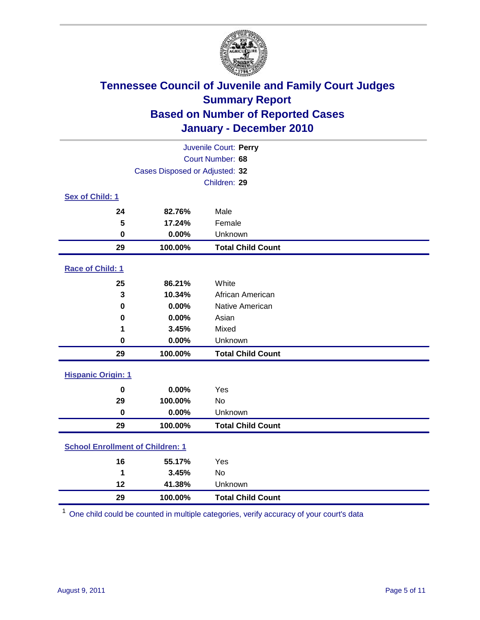

|                                         |                                | Juvenile Court: Perry    |
|-----------------------------------------|--------------------------------|--------------------------|
|                                         |                                | Court Number: 68         |
|                                         | Cases Disposed or Adjusted: 32 |                          |
|                                         |                                | Children: 29             |
| Sex of Child: 1                         |                                |                          |
| 24                                      | 82.76%                         | Male                     |
| 5                                       | 17.24%                         | Female                   |
| $\mathbf 0$                             | 0.00%                          | Unknown                  |
| 29                                      | 100.00%                        | <b>Total Child Count</b> |
| Race of Child: 1                        |                                |                          |
| 25                                      | 86.21%                         | White                    |
| 3                                       | 10.34%                         | African American         |
| $\mathbf 0$                             | 0.00%                          | Native American          |
| $\mathbf 0$                             | 0.00%                          | Asian                    |
| 1                                       | 3.45%                          | Mixed                    |
| 0                                       | 0.00%                          | Unknown                  |
| 29                                      | 100.00%                        | <b>Total Child Count</b> |
| <b>Hispanic Origin: 1</b>               |                                |                          |
| $\mathbf 0$                             | 0.00%                          | Yes                      |
| 29                                      | 100.00%                        | No                       |
| $\mathbf 0$                             | 0.00%                          | Unknown                  |
| 29                                      | 100.00%                        | <b>Total Child Count</b> |
| <b>School Enrollment of Children: 1</b> |                                |                          |
| 16                                      | 55.17%                         | Yes                      |
| 1                                       | 3.45%                          | No                       |
| 12                                      | 41.38%                         | Unknown                  |
| 29                                      | 100.00%                        | <b>Total Child Count</b> |

One child could be counted in multiple categories, verify accuracy of your court's data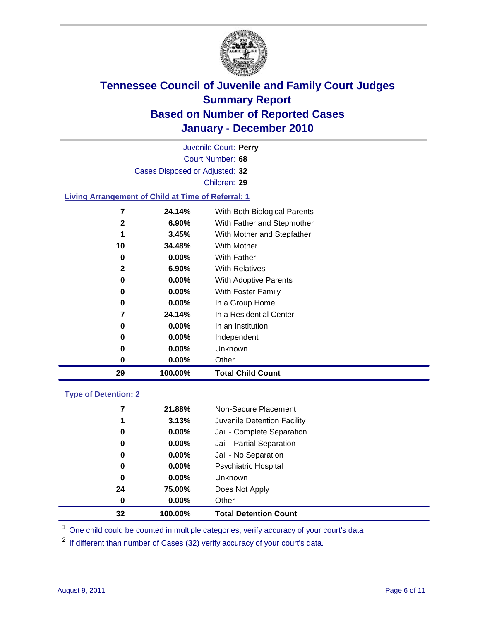

|    |                                                           | Juvenile Court: Perry        |
|----|-----------------------------------------------------------|------------------------------|
|    |                                                           | Court Number: 68             |
|    | Cases Disposed or Adjusted: 32                            |                              |
|    |                                                           | Children: 29                 |
|    | <b>Living Arrangement of Child at Time of Referral: 1</b> |                              |
| 7  | 24.14%                                                    | With Both Biological Parents |
| 2  | 6.90%                                                     | With Father and Stepmother   |
| 1  | 3.45%                                                     | With Mother and Stepfather   |
| 10 | 34.48%                                                    | <b>With Mother</b>           |
| 0  | $0.00\%$                                                  | With Father                  |
| 2  | 6.90%                                                     | <b>With Relatives</b>        |

**0.00%** With Adoptive Parents

| 0 | $0.00\%$ | With Foster Family      |
|---|----------|-------------------------|
| 0 | $0.00\%$ | In a Group Home         |
| 7 | 24.14%   | In a Residential Center |
| 0 | $0.00\%$ | In an Institution       |
| 0 | $0.00\%$ | Independent             |

**0.00%** Unknown

|    | $0.00\%$ | Other                    |  |
|----|----------|--------------------------|--|
| 29 | 100.00%  | <b>Total Child Count</b> |  |

### **Type of Detention: 2**

| 0  | $0.00\%$ | Other                       |
|----|----------|-----------------------------|
| 24 | 75.00%   | Does Not Apply              |
| 0  | $0.00\%$ | <b>Unknown</b>              |
| 0  | $0.00\%$ | Psychiatric Hospital        |
| 0  | 0.00%    | Jail - No Separation        |
| 0  | $0.00\%$ | Jail - Partial Separation   |
| 0  | 0.00%    | Jail - Complete Separation  |
| 1  | 3.13%    | Juvenile Detention Facility |
| 7  | 21.88%   | Non-Secure Placement        |
|    |          |                             |

<sup>1</sup> One child could be counted in multiple categories, verify accuracy of your court's data

<sup>2</sup> If different than number of Cases (32) verify accuracy of your court's data.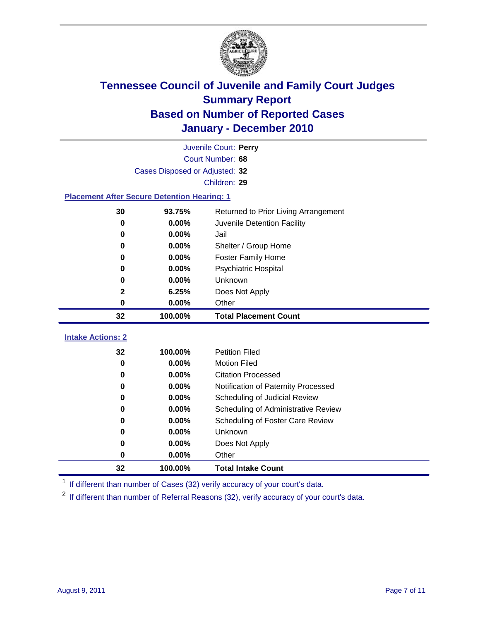

|                                                    |                                                | Juvenile Court: Perry               |  |  |
|----------------------------------------------------|------------------------------------------------|-------------------------------------|--|--|
|                                                    |                                                | Court Number: 68                    |  |  |
|                                                    | Cases Disposed or Adjusted: 32                 |                                     |  |  |
|                                                    |                                                | Children: 29                        |  |  |
| <b>Placement After Secure Detention Hearing: 1</b> |                                                |                                     |  |  |
| 30                                                 | 93.75%<br>Returned to Prior Living Arrangement |                                     |  |  |
| 0                                                  | 0.00%                                          | Juvenile Detention Facility         |  |  |
| 0                                                  | 0.00%                                          | Jail                                |  |  |
| 0                                                  | 0.00%                                          | Shelter / Group Home                |  |  |
| 0                                                  | 0.00%                                          | <b>Foster Family Home</b>           |  |  |
| 0                                                  | 0.00%                                          | Psychiatric Hospital                |  |  |
| 0                                                  | 0.00%                                          | Unknown                             |  |  |
| 2                                                  | 6.25%                                          | Does Not Apply                      |  |  |
| $\pmb{0}$                                          | 0.00%                                          | Other                               |  |  |
| 32                                                 | 100.00%                                        | <b>Total Placement Count</b>        |  |  |
| <b>Intake Actions: 2</b>                           |                                                |                                     |  |  |
| 32                                                 | 100.00%                                        | <b>Petition Filed</b>               |  |  |
| $\bf{0}$                                           | 0.00%                                          | <b>Motion Filed</b>                 |  |  |
| $\bf{0}$                                           | 0.00%                                          | <b>Citation Processed</b>           |  |  |
| 0                                                  | 0.00%                                          | Notification of Paternity Processed |  |  |
| $\bf{0}$                                           | 0.00%                                          | Scheduling of Judicial Review       |  |  |
| 0                                                  | 0.00%                                          | Scheduling of Administrative Review |  |  |
| 0                                                  | 0.00%                                          | Scheduling of Foster Care Review    |  |  |
| 0                                                  | 0.00%                                          | Unknown                             |  |  |
| 0                                                  | 0.00%                                          | Does Not Apply                      |  |  |
|                                                    |                                                |                                     |  |  |
| 0                                                  | 0.00%                                          | Other                               |  |  |

<sup>1</sup> If different than number of Cases (32) verify accuracy of your court's data.

<sup>2</sup> If different than number of Referral Reasons (32), verify accuracy of your court's data.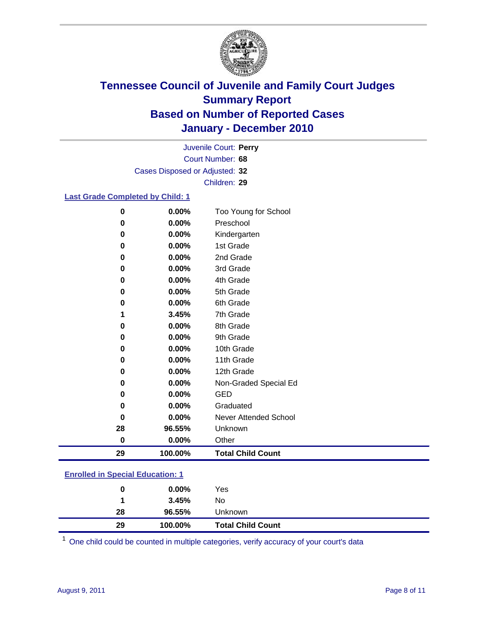

Court Number: **68** Juvenile Court: **Perry** Cases Disposed or Adjusted: **32** Children: **29**

### **Last Grade Completed by Child: 1**

| 29       | 100.00%  | <b>Total Child Count</b> |  |
|----------|----------|--------------------------|--|
| $\bf{0}$ | 0.00%    | Other                    |  |
| 28       | 96.55%   | Unknown                  |  |
| 0        | 0.00%    | Never Attended School    |  |
| 0        | 0.00%    | Graduated                |  |
| 0        | $0.00\%$ | <b>GED</b>               |  |
| 0        | 0.00%    | Non-Graded Special Ed    |  |
| 0        | $0.00\%$ | 12th Grade               |  |
| 0        | $0.00\%$ | 11th Grade               |  |
| 0        | $0.00\%$ | 10th Grade               |  |
| 0        | 0.00%    | 9th Grade                |  |
| 0        | 0.00%    | 8th Grade                |  |
| 1        | 3.45%    | 7th Grade                |  |
| 0        | 0.00%    | 6th Grade                |  |
| 0        | 0.00%    | 5th Grade                |  |
| 0        | $0.00\%$ | 4th Grade                |  |
| $\bf{0}$ | $0.00\%$ | 3rd Grade                |  |
| 0        | $0.00\%$ | 2nd Grade                |  |
| 0        | 0.00%    | 1st Grade                |  |
| 0        | $0.00\%$ | Kindergarten             |  |
| 0        | $0.00\%$ | Preschool                |  |
| $\bf{0}$ | 0.00%    | Too Young for School     |  |

### **Enrolled in Special Education: 1**

| 0  | $0.00\%$ | Yes                      |
|----|----------|--------------------------|
|    | 3.45%    | No                       |
| 28 | 96.55%   | <b>Unknown</b>           |
| 29 | 100.00%  | <b>Total Child Count</b> |

One child could be counted in multiple categories, verify accuracy of your court's data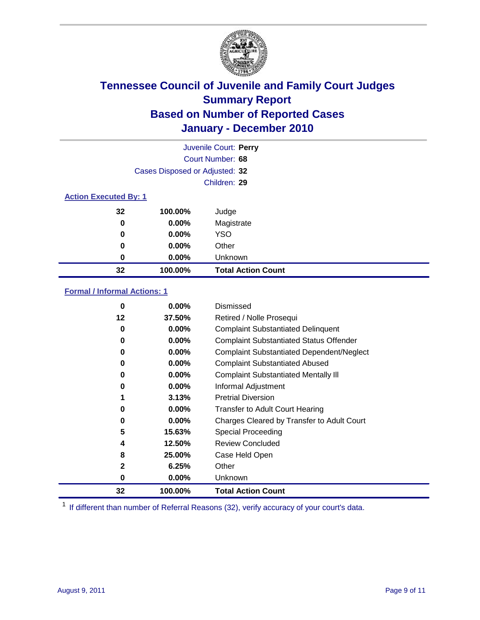

|                              |                                | Juvenile Court: Perry     |
|------------------------------|--------------------------------|---------------------------|
|                              |                                | Court Number: 68          |
|                              | Cases Disposed or Adjusted: 32 |                           |
|                              |                                | Children: 29              |
| <b>Action Executed By: 1</b> |                                |                           |
| 32                           | 100.00%                        | Judge                     |
| $\bf{0}$                     | $0.00\%$                       | Magistrate                |
| 0                            | 0.00%                          | <b>YSO</b>                |
| 0                            | 0.00%                          | Other                     |
| 0                            | 0.00%                          | Unknown                   |
| 32                           | 100.00%                        | <b>Total Action Count</b> |

### **Formal / Informal Actions: 1**

| 0            | $0.00\%$ | Dismissed                                        |
|--------------|----------|--------------------------------------------------|
| 12           | 37.50%   | Retired / Nolle Prosequi                         |
| 0            | $0.00\%$ | <b>Complaint Substantiated Delinquent</b>        |
| 0            | $0.00\%$ | <b>Complaint Substantiated Status Offender</b>   |
| 0            | $0.00\%$ | <b>Complaint Substantiated Dependent/Neglect</b> |
| 0            | $0.00\%$ | <b>Complaint Substantiated Abused</b>            |
| 0            | $0.00\%$ | <b>Complaint Substantiated Mentally III</b>      |
| 0            | $0.00\%$ | Informal Adjustment                              |
| 1            | 3.13%    | <b>Pretrial Diversion</b>                        |
| 0            | $0.00\%$ | <b>Transfer to Adult Court Hearing</b>           |
| 0            | $0.00\%$ | Charges Cleared by Transfer to Adult Court       |
| 5            | 15.63%   | Special Proceeding                               |
| 4            | 12.50%   | <b>Review Concluded</b>                          |
| 8            | 25.00%   | Case Held Open                                   |
| $\mathbf{2}$ | 6.25%    | Other                                            |
| 0            | 0.00%    | <b>Unknown</b>                                   |
| 32           | 100.00%  | <b>Total Action Count</b>                        |

<sup>1</sup> If different than number of Referral Reasons (32), verify accuracy of your court's data.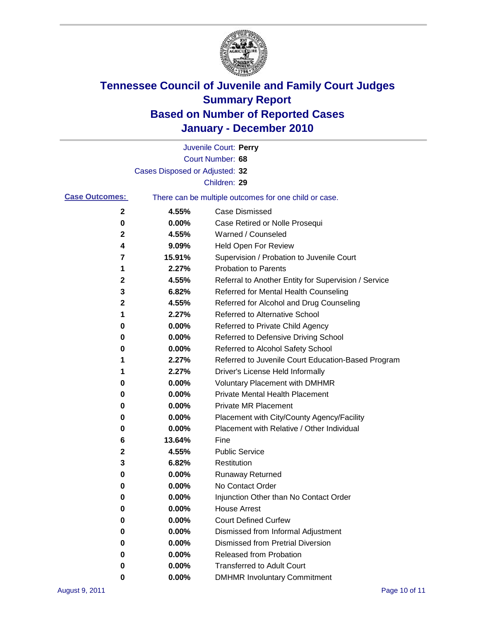

|                       |                                | Juvenile Court: Perry                                 |
|-----------------------|--------------------------------|-------------------------------------------------------|
|                       |                                | Court Number: 68                                      |
|                       | Cases Disposed or Adjusted: 32 |                                                       |
|                       |                                | Children: 29                                          |
| <b>Case Outcomes:</b> |                                | There can be multiple outcomes for one child or case. |
| 2                     | 4.55%                          | <b>Case Dismissed</b>                                 |
| 0                     | 0.00%                          | Case Retired or Nolle Prosequi                        |
| 2                     | 4.55%                          | Warned / Counseled                                    |
| 4                     | 9.09%                          | Held Open For Review                                  |
| 7                     | 15.91%                         | Supervision / Probation to Juvenile Court             |
| 1                     | 2.27%                          | <b>Probation to Parents</b>                           |
| 2                     | 4.55%                          | Referral to Another Entity for Supervision / Service  |
| 3                     | 6.82%                          | Referred for Mental Health Counseling                 |
| 2                     | 4.55%                          | Referred for Alcohol and Drug Counseling              |
| 1                     | 2.27%                          | <b>Referred to Alternative School</b>                 |
| 0                     | 0.00%                          | Referred to Private Child Agency                      |
| 0                     | 0.00%                          | Referred to Defensive Driving School                  |
| 0                     | 0.00%                          | Referred to Alcohol Safety School                     |
| 1                     | 2.27%                          | Referred to Juvenile Court Education-Based Program    |
| 1                     | 2.27%                          | Driver's License Held Informally                      |
| 0                     | 0.00%                          | <b>Voluntary Placement with DMHMR</b>                 |
| 0                     | 0.00%                          | <b>Private Mental Health Placement</b>                |
| 0                     | 0.00%                          | <b>Private MR Placement</b>                           |
| 0                     | 0.00%                          | Placement with City/County Agency/Facility            |
| 0                     | 0.00%                          | Placement with Relative / Other Individual            |
| 6                     | 13.64%                         | Fine                                                  |
| 2                     | 4.55%                          | <b>Public Service</b>                                 |
| 3                     | 6.82%                          | Restitution                                           |
| 0                     | 0.00%                          | <b>Runaway Returned</b>                               |
| 0                     | 0.00%                          | No Contact Order                                      |
| 0                     | 0.00%                          | Injunction Other than No Contact Order                |
| 0                     | 0.00%                          | <b>House Arrest</b>                                   |
| 0                     | 0.00%                          | <b>Court Defined Curfew</b>                           |
| 0                     | 0.00%                          | Dismissed from Informal Adjustment                    |
| 0                     | 0.00%                          | <b>Dismissed from Pretrial Diversion</b>              |
| 0                     | 0.00%                          | Released from Probation                               |
| 0                     | 0.00%                          | <b>Transferred to Adult Court</b>                     |
| 0                     | $0.00\%$                       | <b>DMHMR Involuntary Commitment</b>                   |